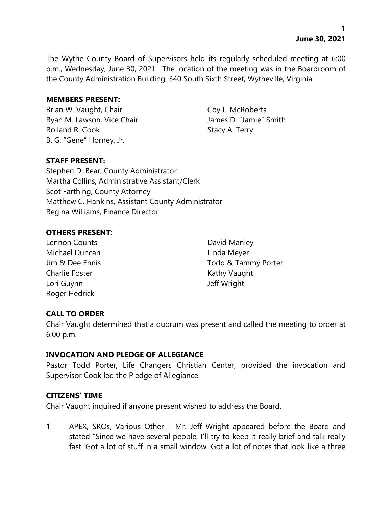The Wythe County Board of Supervisors held its regularly scheduled meeting at 6:00 p.m., Wednesday, June 30, 2021. The location of the meeting was in the Boardroom of the County Administration Building, 340 South Sixth Street, Wytheville, Virginia.

### **MEMBERS PRESENT:**

Brian W. Vaught, Chair Coy L. McRoberts Ryan M. Lawson, Vice Chair **James D. "Jamie"** Smith Rolland R. Cook Stacy A. Terry B. G. "Gene" Horney, Jr.

# **STAFF PRESENT:**

Stephen D. Bear, County Administrator Martha Collins, Administrative Assistant/Clerk Scot Farthing, County Attorney Matthew C. Hankins, Assistant County Administrator Regina Williams, Finance Director

# **OTHERS PRESENT:**

- Lennon Counts **David Manley** Michael Duncan **Linda Meyer** Charlie Foster **Kathy Vaught** Kathy Vaught Lori Guynn Jeff Wright Roger Hedrick
- Jim & Dee Ennis Todd & Tammy Porter

# **CALL TO ORDER**

Chair Vaught determined that a quorum was present and called the meeting to order at 6:00 p.m.

# **INVOCATION AND PLEDGE OF ALLEGIANCE**

Pastor Todd Porter, Life Changers Christian Center, provided the invocation and Supervisor Cook led the Pledge of Allegiance.

# **CITIZENS' TIME**

Chair Vaught inquired if anyone present wished to address the Board.

1. APEX, SROs, Various Other – Mr. Jeff Wright appeared before the Board and stated "Since we have several people, I'll try to keep it really brief and talk really fast. Got a lot of stuff in a small window. Got a lot of notes that look like a three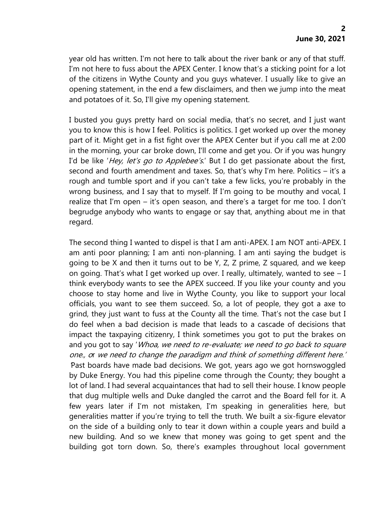year old has written. I'm not here to talk about the river bank or any of that stuff. I'm not here to fuss about the APEX Center. I know that's a sticking point for a lot of the citizens in Wythe County and you guys whatever. I usually like to give an opening statement, in the end a few disclaimers, and then we jump into the meat and potatoes of it. So, I'll give my opening statement.

I busted you guys pretty hard on social media, that's no secret, and I just want you to know this is how I feel. Politics is politics. I get worked up over the money part of it. Might get in a fist fight over the APEX Center but if you call me at 2:00 in the morning, your car broke down, I'll come and get you. Or if you was hungry I'd be like 'Hey, let's go to Applebee's.' But I do get passionate about the first, second and fourth amendment and taxes. So, that's why I'm here. Politics – it's a rough and tumble sport and if you can't take a few licks, you're probably in the wrong business, and I say that to myself. If I'm going to be mouthy and vocal, I realize that I'm open – it's open season, and there's a target for me too. I don't begrudge anybody who wants to engage or say that, anything about me in that regard.

The second thing I wanted to dispel is that I am anti-APEX. I am NOT anti-APEX. I am anti poor planning; I am anti non-planning. I am anti saying the budget is going to be X and then it turns out to be Y, Z, Z prime, Z squared, and we keep on going. That's what I get worked up over. I really, ultimately, wanted to see  $-1$ think everybody wants to see the APEX succeed. If you like your county and you choose to stay home and live in Wythe County, you like to support your local officials, you want to see them succeed. So, a lot of people, they got a axe to grind, they just want to fuss at the County all the time. That's not the case but I do feel when a bad decision is made that leads to a cascade of decisions that impact the taxpaying citizenry, I think sometimes you got to put the brakes on and you got to say 'Whoa, we need to re-evaluate; we need to go back to square one., or we need to change the paradigm and think of something different here.' 'Past boards have made bad decisions. We got, years ago we got hornswoggled by Duke Energy. You had this pipeline come through the County; they bought a lot of land. I had several acquaintances that had to sell their house. I know people that dug multiple wells and Duke dangled the carrot and the Board fell for it. A few years later if I'm not mistaken, I'm speaking in generalities here, but generalities matter if you're trying to tell the truth. We built a six-figure elevator on the side of a building only to tear it down within a couple years and build a new building. And so we knew that money was going to get spent and the building got torn down. So, there's examples throughout local government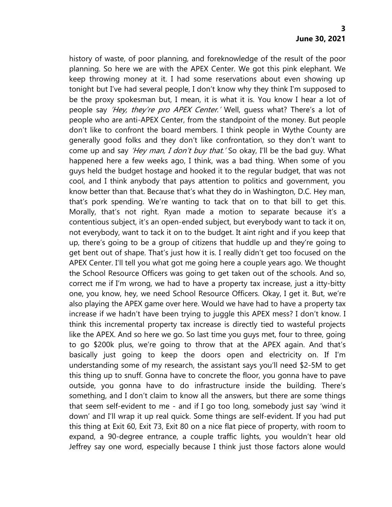history of waste, of poor planning, and foreknowledge of the result of the poor planning. So here we are with the APEX Center. We got this pink elephant. We keep throwing money at it. I had some reservations about even showing up tonight but I've had several people, I don't know why they think I'm supposed to be the proxy spokesman but, I mean, it is what it is. You know I hear a lot of people say 'Hey, they're pro APEX Center.' Well, quess what? There's a lot of people who are anti-APEX Center, from the standpoint of the money. But people don't like to confront the board members. I think people in Wythe County are generally good folks and they don't like confrontation, so they don't want to come up and say 'Hey man, I don't buy that.' So okay, I'll be the bad guy. What happened here a few weeks ago, I think, was a bad thing. When some of you guys held the budget hostage and hooked it to the regular budget, that was not cool, and I think anybody that pays attention to politics and government, you know better than that. Because that's what they do in Washington, D.C. Hey man, that's pork spending. We're wanting to tack that on to that bill to get this. Morally, that's not right. Ryan made a motion to separate because it's a contentious subject, it's an open-ended subject, but everybody want to tack it on, not everybody, want to tack it on to the budget. It aint right and if you keep that up, there's going to be a group of citizens that huddle up and they're going to get bent out of shape. That's just how it is. I really didn't get too focused on the APEX Center. I'll tell you what got me going here a couple years ago. We thought the School Resource Officers was going to get taken out of the schools. And so, correct me if I'm wrong, we had to have a property tax increase, just a itty-bitty one, you know, hey, we need School Resource Officers. Okay, I get it. But, we're also playing the APEX game over here. Would we have had to have a property tax increase if we hadn't have been trying to juggle this APEX mess? I don't know. I think this incremental property tax increase is directly tied to wasteful projects like the APEX. And so here we go. So last time you guys met, four to three, going to go \$200k plus, we're going to throw that at the APEX again. And that's basically just going to keep the doors open and electricity on. If I'm understanding some of my research, the assistant says you'll need \$2-5M to get this thing up to snuff. Gonna have to concrete the floor, you gonna have to pave outside, you gonna have to do infrastructure inside the building. There's something, and I don't claim to know all the answers, but there are some things that seem self-evident to me - and if I go too long, somebody just say 'wind it down' and I'll wrap it up real quick. Some things are self-evident. If you had put this thing at Exit 60, Exit 73, Exit 80 on a nice flat piece of property, with room to expand, a 90-degree entrance, a couple traffic lights, you wouldn't hear old Jeffrey say one word, especially because I think just those factors alone would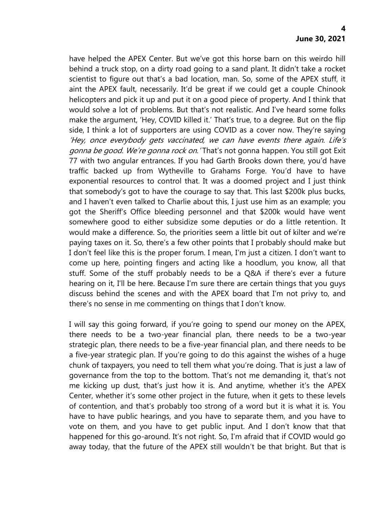have helped the APEX Center. But we've got this horse barn on this weirdo hill behind a truck stop, on a dirty road going to a sand plant. It didn't take a rocket scientist to figure out that's a bad location, man. So, some of the APEX stuff, it aint the APEX fault, necessarily. It'd be great if we could get a couple Chinook helicopters and pick it up and put it on a good piece of property. And I think that would solve a lot of problems. But that's not realistic. And I've heard some folks make the argument, 'Hey, COVID killed it.' That's true, to a degree. But on the flip side, I think a lot of supporters are using COVID as a cover now. They're saying 'Hey, once everybody gets vaccinated, we can have events there again. Life'<sup>s</sup> gonna be good. We're gonna rock on. 'That's not gonna happen. You still got Exit 77 with two angular entrances. If you had Garth Brooks down there, you'd have traffic backed up from Wytheville to Grahams Forge. You'd have to have exponential resources to control that. It was a doomed project and I just think that somebody's got to have the courage to say that. This last \$200k plus bucks, and I haven't even talked to Charlie about this, I just use him as an example; you got the Sheriff's Office bleeding personnel and that \$200k would have went somewhere good to either subsidize some deputies or do a little retention. It would make a difference. So, the priorities seem a little bit out of kilter and we're paying taxes on it. So, there's a few other points that I probably should make but I don't feel like this is the proper forum. I mean, I'm just a citizen. I don't want to come up here, pointing fingers and acting like a hoodlum, you know, all that stuff. Some of the stuff probably needs to be a Q&A if there's ever a future hearing on it, I'll be here. Because I'm sure there are certain things that you guys discuss behind the scenes and with the APEX board that I'm not privy to, and there's no sense in me commenting on things that I don't know.

I will say this going forward, if you're going to spend our money on the APEX, there needs to be a two-year financial plan, there needs to be a two-year strategic plan, there needs to be a five-year financial plan, and there needs to be a five-year strategic plan. If you're going to do this against the wishes of a huge chunk of taxpayers, you need to tell them what you're doing. That is just a law of governance from the top to the bottom. That's not me demanding it, that's not me kicking up dust, that's just how it is. And anytime, whether it's the APEX Center, whether it's some other project in the future, when it gets to these levels of contention, and that's probably too strong of a word but it is what it is. You have to have public hearings, and you have to separate them, and you have to vote on them, and you have to get public input. And I don't know that that happened for this go-around. It's not right. So, I'm afraid that if COVID would go away today, that the future of the APEX still wouldn't be that bright. But that is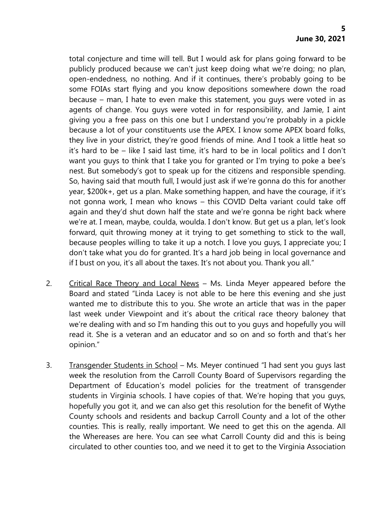total conjecture and time will tell. But I would ask for plans going forward to be publicly produced because we can't just keep doing what we're doing; no plan, open-endedness, no nothing. And if it continues, there's probably going to be some FOIAs start flying and you know depositions somewhere down the road because – man, I hate to even make this statement, you guys were voted in as agents of change. You guys were voted in for responsibility, and Jamie, I aint giving you a free pass on this one but I understand you're probably in a pickle because a lot of your constituents use the APEX. I know some APEX board folks, they live in your district, they're good friends of mine. And I took a little heat so it's hard to be – like I said last time, it's hard to be in local politics and I don't want you guys to think that I take you for granted or I'm trying to poke a bee's nest. But somebody's got to speak up for the citizens and responsible spending. So, having said that mouth full, I would just ask if we're gonna do this for another year, \$200k+, get us a plan. Make something happen, and have the courage, if it's not gonna work, I mean who knows – this COVID Delta variant could take off again and they'd shut down half the state and we're gonna be right back where we're at. I mean, maybe, coulda, woulda. I don't know. But get us a plan, let's look forward, quit throwing money at it trying to get something to stick to the wall, because peoples willing to take it up a notch. I love you guys, I appreciate you; I don't take what you do for granted. It's a hard job being in local governance and if I bust on you, it's all about the taxes. It's not about you. Thank you all."

- 2. Critical Race Theory and Local News Ms. Linda Meyer appeared before the Board and stated "Linda Lacey is not able to be here this evening and she just wanted me to distribute this to you. She wrote an article that was in the paper last week under Viewpoint and it's about the critical race theory baloney that we're dealing with and so I'm handing this out to you guys and hopefully you will read it. She is a veteran and an educator and so on and so forth and that's her opinion."
- 3. Transgender Students in School Ms. Meyer continued "I had sent you guys last week the resolution from the Carroll County Board of Supervisors regarding the Department of Education's model policies for the treatment of transgender students in Virginia schools. I have copies of that. We're hoping that you guys, hopefully you got it, and we can also get this resolution for the benefit of Wythe County schools and residents and backup Carroll County and a lot of the other counties. This is really, really important. We need to get this on the agenda. All the Whereases are here. You can see what Carroll County did and this is being circulated to other counties too, and we need it to get to the Virginia Association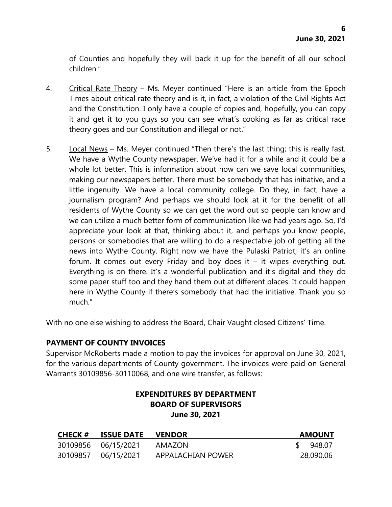of Counties and hopefully they will back it up for the benefit of all our school children."

- 4. Critical Rate Theory Ms. Meyer continued "Here is an article from the Epoch Times about critical rate theory and is it, in fact, a violation of the Civil Rights Act and the Constitution. I only have a couple of copies and, hopefully, you can copy it and get it to you guys so you can see what's cooking as far as critical race theory goes and our Constitution and illegal or not."
- 5. Local News Ms. Meyer continued "Then there's the last thing; this is really fast. We have a Wythe County newspaper. We've had it for a while and it could be a whole lot better. This is information about how can we save local communities, making our newspapers better. There must be somebody that has initiative, and a little ingenuity. We have a local community college. Do they, in fact, have a journalism program? And perhaps we should look at it for the benefit of all residents of Wythe County so we can get the word out so people can know and we can utilize a much better form of communication like we had years ago. So, I'd appreciate your look at that, thinking about it, and perhaps you know people, persons or somebodies that are willing to do a respectable job of getting all the news into Wythe County. Right now we have the Pulaski Patriot; it's an online forum. It comes out every Friday and boy does it  $-$  it wipes everything out. Everything is on there. It's a wonderful publication and it's digital and they do some paper stuff too and they hand them out at different places. It could happen here in Wythe County if there's somebody that had the initiative. Thank you so much."

With no one else wishing to address the Board, Chair Vaught closed Citizens' Time.

# **PAYMENT OF COUNTY INVOICES**

Supervisor McRoberts made a motion to pay the invoices for approval on June 30, 2021, for the various departments of County government. The invoices were paid on General Warrants 30109856-30110068, and one wire transfer, as follows:

# **EXPENDITURES BY DEPARTMENT BOARD OF SUPERVISORS June 30, 2021**

| <b>CHECK #</b> | ISSUE DATE          | <b>VENDOR</b>     | <b>AMOUNT</b> |
|----------------|---------------------|-------------------|---------------|
|                | 30109856 06/15/2021 | AMAZON            | 948.07        |
|                | 30109857 06/15/2021 | APPALACHIAN POWER | 28,090.06     |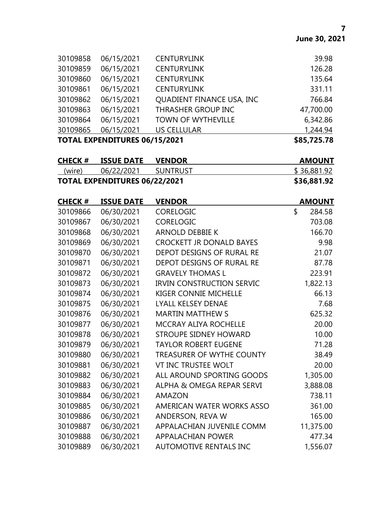| <b>TOTAL EXPENDITURES 06/15/2021</b> |            |                           | \$85,725.78 |
|--------------------------------------|------------|---------------------------|-------------|
| 30109865                             | 06/15/2021 | <b>US CELLULAR</b>        | 1,244.94    |
| 30109864                             | 06/15/2021 | <b>TOWN OF WYTHEVILLE</b> | 6,342.86    |
| 30109863                             | 06/15/2021 | THRASHER GROUP INC        | 47,700.00   |
| 30109862                             | 06/15/2021 | QUADIENT FINANCE USA, INC | 766.84      |
| 30109861                             | 06/15/2021 | <b>CENTURYLINK</b>        | 331.11      |
| 30109860                             | 06/15/2021 | <b>CENTURYLINK</b>        | 135.64      |
| 30109859                             | 06/15/2021 | <b>CENTURYLINK</b>        | 126.28      |
| 30109858                             | 06/15/2021 | <b>CENTURYLINK</b>        | 39.98       |

| <b>CHECK #</b>                       | <b>ISSUE DATE</b> | <b>VENDOR</b> | <b>AMOUNT</b> |
|--------------------------------------|-------------------|---------------|---------------|
| (wire)                               | 06/22/2021        | SUNTRUST      | \$36,881.92   |
| <b>TOTAL EXPENDITURES 06/22/2021</b> |                   |               | \$36,881.92   |

| <b>CHECK#</b> | <b>ISSUE DATE</b> | <b>VENDOR</b>                    | <b>AMOUNT</b> |
|---------------|-------------------|----------------------------------|---------------|
| 30109866      | 06/30/2021        | <b>CORELOGIC</b>                 | \$<br>284.58  |
| 30109867      | 06/30/2021        | <b>CORELOGIC</b>                 | 703.08        |
| 30109868      | 06/30/2021        | <b>ARNOLD DEBBIE K</b>           | 166.70        |
| 30109869      | 06/30/2021        | <b>CROCKETT JR DONALD BAYES</b>  | 9.98          |
| 30109870      | 06/30/2021        | DEPOT DESIGNS OF RURAL RE        | 21.07         |
| 30109871      | 06/30/2021        | DEPOT DESIGNS OF RURAL RE        | 87.78         |
| 30109872      | 06/30/2021        | <b>GRAVELY THOMAS L</b>          | 223.91        |
| 30109873      | 06/30/2021        | <b>IRVIN CONSTRUCTION SERVIC</b> | 1,822.13      |
| 30109874      | 06/30/2021        | KIGER CONNIE MICHELLE            | 66.13         |
| 30109875      | 06/30/2021        | <b>LYALL KELSEY DENAE</b>        | 7.68          |
| 30109876      | 06/30/2021        | <b>MARTIN MATTHEW S</b>          | 625.32        |
| 30109877      | 06/30/2021        | <b>MCCRAY ALIYA ROCHELLE</b>     | 20.00         |
| 30109878      | 06/30/2021        | STROUPE SIDNEY HOWARD            | 10.00         |
| 30109879      | 06/30/2021        | <b>TAYLOR ROBERT EUGENE</b>      | 71.28         |
| 30109880      | 06/30/2021        | <b>TREASURER OF WYTHE COUNTY</b> | 38.49         |
| 30109881      | 06/30/2021        | <b>VT INC TRUSTEE WOLT</b>       | 20.00         |
| 30109882      | 06/30/2021        | ALL AROUND SPORTING GOODS        | 1,305.00      |
| 30109883      | 06/30/2021        | ALPHA & OMEGA REPAR SERVI        | 3,888.08      |
| 30109884      | 06/30/2021        | <b>AMAZON</b>                    | 738.11        |
| 30109885      | 06/30/2021        | AMERICAN WATER WORKS ASSO        | 361.00        |
| 30109886      | 06/30/2021        | ANDERSON, REVA W                 | 165.00        |
| 30109887      | 06/30/2021        | APPALACHIAN JUVENILE COMM        | 11,375.00     |
| 30109888      | 06/30/2021        | <b>APPALACHIAN POWER</b>         | 477.34        |
| 30109889      | 06/30/2021        | <b>AUTOMOTIVE RENTALS INC</b>    | 1,556.07      |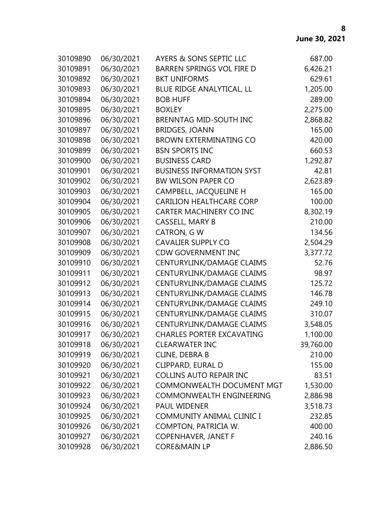| 30109890 | 06/30/2021 | <b>AYERS &amp; SONS SEPTIC LLC</b> | 687.00    |
|----------|------------|------------------------------------|-----------|
| 30109891 | 06/30/2021 | <b>BARREN SPRINGS VOL FIRE D</b>   | 6,426.21  |
| 30109892 | 06/30/2021 | <b>BKT UNIFORMS</b>                | 629.61    |
| 30109893 | 06/30/2021 | BLUE RIDGE ANALYTICAL, LL          | 1,205.00  |
| 30109894 | 06/30/2021 | <b>BOB HUFF</b>                    | 289.00    |
| 30109895 | 06/30/2021 | <b>BOXLEY</b>                      | 2,275.00  |
| 30109896 | 06/30/2021 | <b>BRENNTAG MID-SOUTH INC</b>      | 2,868.82  |
| 30109897 | 06/30/2021 | <b>BRIDGES, JOANN</b>              | 165.00    |
| 30109898 | 06/30/2021 | <b>BROWN EXTERMINATING CO</b>      | 420.00    |
| 30109899 | 06/30/2021 | <b>BSN SPORTS INC</b>              | 660.53    |
| 30109900 | 06/30/2021 | <b>BUSINESS CARD</b>               | 1,292.87  |
| 30109901 | 06/30/2021 | <b>BUSINESS INFORMATION SYST</b>   | 42.81     |
| 30109902 | 06/30/2021 | <b>BW WILSON PAPER CO</b>          | 2,623.89  |
| 30109903 | 06/30/2021 | CAMPBELL, JACQUELINE H             | 165.00    |
| 30109904 | 06/30/2021 | <b>CARILION HEALTHCARE CORP</b>    | 100.00    |
| 30109905 | 06/30/2021 | <b>CARTER MACHINERY CO INC</b>     | 8,302.19  |
| 30109906 | 06/30/2021 | <b>CASSELL, MARY B</b>             | 210.00    |
| 30109907 | 06/30/2021 | <b>CATRON, GW</b>                  | 134.56    |
| 30109908 | 06/30/2021 | <b>CAVALIER SUPPLY CO</b>          | 2,504.29  |
| 30109909 | 06/30/2021 | <b>CDW GOVERNMENT INC</b>          | 3,377.72  |
| 30109910 | 06/30/2021 | CENTURYLINK/DAMAGE CLAIMS          | 52.76     |
| 30109911 | 06/30/2021 | CENTURYLINK/DAMAGE CLAIMS          | 98.97     |
| 30109912 | 06/30/2021 | CENTURYLINK/DAMAGE CLAIMS          | 125.72    |
| 30109913 | 06/30/2021 | CENTURYLINK/DAMAGE CLAIMS          | 146.78    |
| 30109914 | 06/30/2021 | CENTURYLINK/DAMAGE CLAIMS          | 249.10    |
| 30109915 | 06/30/2021 | CENTURYLINK/DAMAGE CLAIMS          | 310.07    |
| 30109916 | 06/30/2021 | CENTURYLINK/DAMAGE CLAIMS          | 3,548.05  |
| 30109917 | 06/30/2021 | <b>CHARLES PORTER EXCAVATING</b>   | 1,100.00  |
| 30109918 | 06/30/2021 | <b>CLEARWATER INC</b>              | 39,760.00 |
| 30109919 | 06/30/2021 | <b>CLINE, DEBRA B</b>              | 210.00    |
| 30109920 | 06/30/2021 | <b>CLIPPARD, EURAL D</b>           | 155.00    |
| 30109921 | 06/30/2021 | <b>COLLINS AUTO REPAIR INC</b>     | 83.51     |
| 30109922 | 06/30/2021 | <b>COMMONWEALTH DOCUMENT MGT</b>   | 1,530.00  |
| 30109923 | 06/30/2021 | <b>COMMONWEALTH ENGINEERING</b>    | 2,886.98  |
| 30109924 | 06/30/2021 | PAUL WIDENER                       | 3,518.73  |
| 30109925 | 06/30/2021 | COMMUNITY ANIMAL CLINIC I          | 232.85    |
| 30109926 | 06/30/2021 | COMPTON, PATRICIA W.               | 400.00    |
| 30109927 | 06/30/2021 | <b>COPENHAVER, JANET F</b>         | 240.16    |
| 30109928 | 06/30/2021 | <b>CORE&amp;MAIN LP</b>            | 2,886.50  |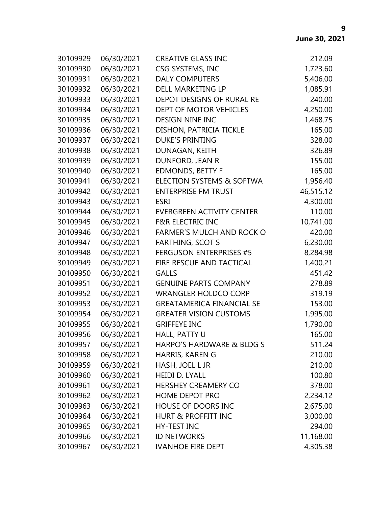| 30109929 | 06/30/2021 | <b>CREATIVE GLASS INC</b>            | 212.09    |
|----------|------------|--------------------------------------|-----------|
| 30109930 | 06/30/2021 | CSG SYSTEMS, INC                     | 1,723.60  |
| 30109931 | 06/30/2021 | <b>DALY COMPUTERS</b>                | 5,406.00  |
| 30109932 | 06/30/2021 | DELL MARKETING LP                    | 1,085.91  |
| 30109933 | 06/30/2021 | DEPOT DESIGNS OF RURAL RE            | 240.00    |
| 30109934 | 06/30/2021 | DEPT OF MOTOR VEHICLES               | 4,250.00  |
| 30109935 | 06/30/2021 | <b>DESIGN NINE INC</b>               | 1,468.75  |
| 30109936 | 06/30/2021 | DISHON, PATRICIA TICKLE              | 165.00    |
| 30109937 | 06/30/2021 | <b>DUKE'S PRINTING</b>               | 328.00    |
| 30109938 | 06/30/2021 | DUNAGAN, KEITH                       | 326.89    |
| 30109939 | 06/30/2021 | DUNFORD, JEAN R                      | 155.00    |
| 30109940 | 06/30/2021 | <b>EDMONDS, BETTY F</b>              | 165.00    |
| 30109941 | 06/30/2021 | ELECTION SYSTEMS & SOFTWA            | 1,956.40  |
| 30109942 | 06/30/2021 | <b>ENTERPRISE FM TRUST</b>           | 46,515.12 |
| 30109943 | 06/30/2021 | <b>ESRI</b>                          | 4,300.00  |
| 30109944 | 06/30/2021 | <b>EVERGREEN ACTIVITY CENTER</b>     | 110.00    |
| 30109945 | 06/30/2021 | <b>F&amp;R ELECTRIC INC</b>          | 10,741.00 |
| 30109946 | 06/30/2021 | <b>FARMER'S MULCH AND ROCK O</b>     | 420.00    |
| 30109947 | 06/30/2021 | <b>FARTHING, SCOT S</b>              | 6,230.00  |
| 30109948 | 06/30/2021 | <b>FERGUSON ENTERPRISES #5</b>       | 8,284.98  |
| 30109949 | 06/30/2021 | FIRE RESCUE AND TACTICAL             | 1,400.21  |
| 30109950 | 06/30/2021 | <b>GALLS</b>                         | 451.42    |
| 30109951 | 06/30/2021 | <b>GENUINE PARTS COMPANY</b>         | 278.89    |
| 30109952 | 06/30/2021 | <b>WRANGLER HOLDCO CORP</b>          | 319.19    |
| 30109953 | 06/30/2021 | <b>GREATAMERICA FINANCIAL SE</b>     | 153.00    |
| 30109954 | 06/30/2021 | <b>GREATER VISION CUSTOMS</b>        | 1,995.00  |
| 30109955 | 06/30/2021 | <b>GRIFFEYE INC</b>                  | 1,790.00  |
| 30109956 | 06/30/2021 | HALL, PATTY U                        | 165.00    |
| 30109957 | 06/30/2021 | <b>HARPO'S HARDWARE &amp; BLDG S</b> | 511.24    |
| 30109958 | 06/30/2021 | HARRIS, KAREN G                      | 210.00    |
| 30109959 | 06/30/2021 | HASH, JOEL L JR                      | 210.00    |
| 30109960 | 06/30/2021 | <b>HEIDI D. LYALL</b>                | 100.80    |
| 30109961 | 06/30/2021 | <b>HERSHEY CREAMERY CO</b>           | 378.00    |
| 30109962 | 06/30/2021 | <b>HOME DEPOT PRO</b>                | 2,234.12  |
| 30109963 | 06/30/2021 | HOUSE OF DOORS INC                   | 2,675.00  |
| 30109964 | 06/30/2021 | <b>HURT &amp; PROFFITT INC</b>       | 3,000.00  |
| 30109965 | 06/30/2021 | <b>HY-TEST INC</b>                   | 294.00    |
| 30109966 | 06/30/2021 | <b>ID NETWORKS</b>                   | 11,168.00 |
| 30109967 | 06/30/2021 | <b>IVANHOE FIRE DEPT</b>             | 4,305.38  |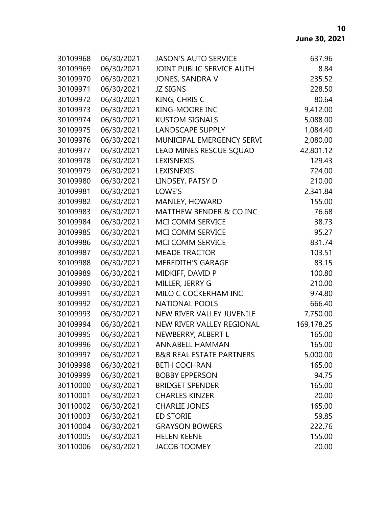| 30109968 | 06/30/2021 | <b>JASON'S AUTO SERVICE</b>         | 637.96     |
|----------|------------|-------------------------------------|------------|
| 30109969 | 06/30/2021 | JOINT PUBLIC SERVICE AUTH           | 8.84       |
| 30109970 | 06/30/2021 | JONES, SANDRA V                     | 235.52     |
| 30109971 | 06/30/2021 | <b>JZ SIGNS</b>                     | 228.50     |
| 30109972 | 06/30/2021 | KING, CHRIS C                       | 80.64      |
| 30109973 | 06/30/2021 | <b>KING-MOORE INC</b>               | 9,412.00   |
| 30109974 | 06/30/2021 | <b>KUSTOM SIGNALS</b>               | 5,088.00   |
| 30109975 | 06/30/2021 | <b>LANDSCAPE SUPPLY</b>             | 1,084.40   |
| 30109976 | 06/30/2021 | MUNICIPAL EMERGENCY SERVI           | 2,080.00   |
| 30109977 | 06/30/2021 | LEAD MINES RESCUE SQUAD             | 42,801.12  |
| 30109978 | 06/30/2021 | LEXISNEXIS                          | 129.43     |
| 30109979 | 06/30/2021 | LEXISNEXIS                          | 724.00     |
| 30109980 | 06/30/2021 | LINDSEY, PATSY D                    | 210.00     |
| 30109981 | 06/30/2021 | LOWE'S                              | 2,341.84   |
| 30109982 | 06/30/2021 | MANLEY, HOWARD                      | 155.00     |
| 30109983 | 06/30/2021 | <b>MATTHEW BENDER &amp; CO INC</b>  | 76.68      |
| 30109984 | 06/30/2021 | MCI COMM SERVICE                    | 38.73      |
| 30109985 | 06/30/2021 | MCI COMM SERVICE                    | 95.27      |
| 30109986 | 06/30/2021 | MCI COMM SERVICE                    | 831.74     |
| 30109987 | 06/30/2021 | <b>MEADE TRACTOR</b>                | 103.51     |
| 30109988 | 06/30/2021 | <b>MEREDITH'S GARAGE</b>            | 83.15      |
| 30109989 | 06/30/2021 | MIDKIFF, DAVID P                    | 100.80     |
| 30109990 | 06/30/2021 | MILLER, JERRY G                     | 210.00     |
| 30109991 | 06/30/2021 | MILO C COCKERHAM INC                | 974.80     |
| 30109992 | 06/30/2021 | <b>NATIONAL POOLS</b>               | 666.40     |
| 30109993 | 06/30/2021 | NEW RIVER VALLEY JUVENILE           | 7,750.00   |
| 30109994 | 06/30/2021 | NEW RIVER VALLEY REGIONAL           | 169,178.25 |
| 30109995 | 06/30/2021 | NEWBERRY, ALBERT L                  | 165.00     |
| 30109996 | 06/30/2021 | <b>ANNABELL HAMMAN</b>              | 165.00     |
| 30109997 | 06/30/2021 | <b>B&amp;B REAL ESTATE PARTNERS</b> | 5,000.00   |
| 30109998 | 06/30/2021 | <b>BETH COCHRAN</b>                 | 165.00     |
| 30109999 | 06/30/2021 | <b>BOBBY EPPERSON</b>               | 94.75      |
| 30110000 | 06/30/2021 | <b>BRIDGET SPENDER</b>              | 165.00     |
| 30110001 | 06/30/2021 | <b>CHARLES KINZER</b>               | 20.00      |
| 30110002 | 06/30/2021 | <b>CHARLIE JONES</b>                | 165.00     |
| 30110003 | 06/30/2021 | <b>ED STORIE</b>                    | 59.85      |
| 30110004 | 06/30/2021 | <b>GRAYSON BOWERS</b>               | 222.76     |
| 30110005 | 06/30/2021 | <b>HELEN KEENE</b>                  | 155.00     |
| 30110006 | 06/30/2021 | <b>JACOB TOOMEY</b>                 | 20.00      |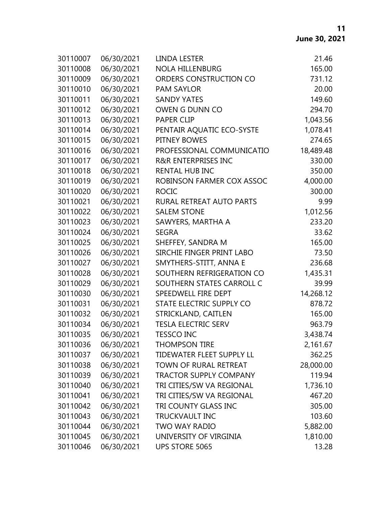| 30110007 | 06/30/2021 | LINDA LESTER                     | 21.46     |
|----------|------------|----------------------------------|-----------|
| 30110008 | 06/30/2021 | <b>NOLA HILLENBURG</b>           | 165.00    |
| 30110009 | 06/30/2021 | ORDERS CONSTRUCTION CO           | 731.12    |
| 30110010 | 06/30/2021 | <b>PAM SAYLOR</b>                | 20.00     |
| 30110011 | 06/30/2021 | <b>SANDY YATES</b>               | 149.60    |
| 30110012 | 06/30/2021 | OWEN G DUNN CO                   | 294.70    |
| 30110013 | 06/30/2021 | <b>PAPER CLIP</b>                | 1,043.56  |
| 30110014 | 06/30/2021 | PENTAIR AQUATIC ECO-SYSTE        | 1,078.41  |
| 30110015 | 06/30/2021 | PITNEY BOWES                     | 274.65    |
| 30110016 | 06/30/2021 | PROFESSIONAL COMMUNICATIO        | 18,489.48 |
| 30110017 | 06/30/2021 | <b>R&amp;R ENTERPRISES INC</b>   | 330.00    |
| 30110018 | 06/30/2021 | <b>RENTAL HUB INC</b>            | 350.00    |
| 30110019 | 06/30/2021 | ROBINSON FARMER COX ASSOC        | 4,000.00  |
| 30110020 | 06/30/2021 | <b>ROCIC</b>                     | 300.00    |
| 30110021 | 06/30/2021 | RURAL RETREAT AUTO PARTS         | 9.99      |
| 30110022 | 06/30/2021 | <b>SALEM STONE</b>               | 1,012.56  |
| 30110023 | 06/30/2021 | SAWYERS, MARTHA A                | 233.20    |
| 30110024 | 06/30/2021 | <b>SEGRA</b>                     | 33.62     |
| 30110025 | 06/30/2021 | SHEFFEY, SANDRA M                | 165.00    |
| 30110026 | 06/30/2021 | SIRCHIE FINGER PRINT LABO        | 73.50     |
| 30110027 | 06/30/2021 | SMYTHERS-STITT, ANNA E           | 236.68    |
| 30110028 | 06/30/2021 | SOUTHERN REFRIGERATION CO        | 1,435.31  |
| 30110029 | 06/30/2021 | SOUTHERN STATES CARROLL C        | 39.99     |
| 30110030 | 06/30/2021 | SPEEDWELL FIRE DEPT              | 14,268.12 |
| 30110031 | 06/30/2021 | STATE ELECTRIC SUPPLY CO         | 878.72    |
| 30110032 | 06/30/2021 | STRICKLAND, CAITLEN              | 165.00    |
| 30110034 | 06/30/2021 | <b>TESLA ELECTRIC SERV</b>       | 963.79    |
| 30110035 | 06/30/2021 | <b>TESSCO INC</b>                | 3,438.74  |
| 30110036 | 06/30/2021 | <b>THOMPSON TIRE</b>             | 2,161.67  |
| 30110037 | 06/30/2021 | <b>TIDEWATER FLEET SUPPLY LL</b> | 362.25    |
| 30110038 | 06/30/2021 | TOWN OF RURAL RETREAT            | 28,000.00 |
| 30110039 | 06/30/2021 | <b>TRACTOR SUPPLY COMPANY</b>    | 119.94    |
| 30110040 | 06/30/2021 | TRI CITIES/SW VA REGIONAL        | 1,736.10  |
| 30110041 | 06/30/2021 | TRI CITIES/SW VA REGIONAL        | 467.20    |
| 30110042 | 06/30/2021 | TRI COUNTY GLASS INC             | 305.00    |
| 30110043 | 06/30/2021 | <b>TRUCKVAULT INC</b>            | 103.60    |
| 30110044 | 06/30/2021 | <b>TWO WAY RADIO</b>             | 5,882.00  |
| 30110045 | 06/30/2021 | UNIVERSITY OF VIRGINIA           | 1,810.00  |
| 30110046 | 06/30/2021 | <b>UPS STORE 5065</b>            | 13.28     |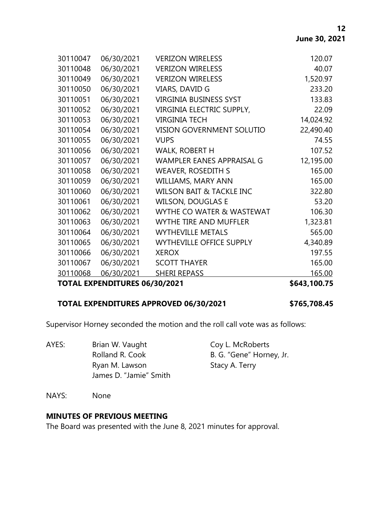| <b>TOTAL EXPENDITURES 06/30/2021</b> |            |                                     | \$643,100.75 |
|--------------------------------------|------------|-------------------------------------|--------------|
| 30110068                             | 06/30/2021 | <b>SHERI REPASS</b>                 | 165.00       |
| 30110067                             | 06/30/2021 | <b>SCOTT THAYER</b>                 | 165.00       |
| 30110066                             | 06/30/2021 | <b>XEROX</b>                        | 197.55       |
| 30110065                             | 06/30/2021 | <b>WYTHEVILLE OFFICE SUPPLY</b>     | 4,340.89     |
| 30110064                             | 06/30/2021 | <b>WYTHEVILLE METALS</b>            | 565.00       |
| 30110063                             | 06/30/2021 | <b>WYTHE TIRE AND MUFFLER</b>       | 1,323.81     |
| 30110062                             | 06/30/2021 | WYTHE CO WATER & WASTEWAT           | 106.30       |
| 30110061                             | 06/30/2021 | <b>WILSON, DOUGLAS E</b>            | 53.20        |
| 30110060                             | 06/30/2021 | <b>WILSON BAIT &amp; TACKLE INC</b> | 322.80       |
| 30110059                             | 06/30/2021 | WILLIAMS, MARY ANN                  | 165.00       |
| 30110058                             | 06/30/2021 | <b>WEAVER, ROSEDITH S</b>           | 165.00       |
| 30110057                             | 06/30/2021 | <b>WAMPLER EANES APPRAISAL G</b>    | 12,195.00    |
| 30110056                             | 06/30/2021 | <b>WALK, ROBERT H</b>               | 107.52       |
| 30110055                             | 06/30/2021 | <b>VUPS</b>                         | 74.55        |
| 30110054                             | 06/30/2021 | VISION GOVERNMENT SOLUTIO           | 22,490.40    |
| 30110053                             | 06/30/2021 | <b>VIRGINIA TECH</b>                | 14,024.92    |
| 30110052                             | 06/30/2021 | VIRGINIA ELECTRIC SUPPLY,           | 22.09        |
| 30110051                             | 06/30/2021 | <b>VIRGINIA BUSINESS SYST</b>       | 133.83       |
| 30110050                             | 06/30/2021 | VIARS, DAVID G                      | 233.20       |
| 30110049                             | 06/30/2021 | <b>VERIZON WIRELESS</b>             | 1,520.97     |
| 30110048                             | 06/30/2021 | <b>VERIZON WIRELESS</b>             | 40.07        |
| 30110047                             | 06/30/2021 | <b>VERIZON WIRELESS</b>             | 120.07       |

# **TOTAL EXPENDITURES APPROVED 06/30/2021 \$765,708.45**

Supervisor Horney seconded the motion and the roll call vote was as follows:

AYES: Brian W. Vaught Coy L. McRoberts Rolland R. Cook B. G. "Gene" Horney, Jr. Ryan M. Lawson Stacy A. Terry James D. "Jamie" Smith

NAYS: None

### **MINUTES OF PREVIOUS MEETING**

The Board was presented with the June 8, 2021 minutes for approval.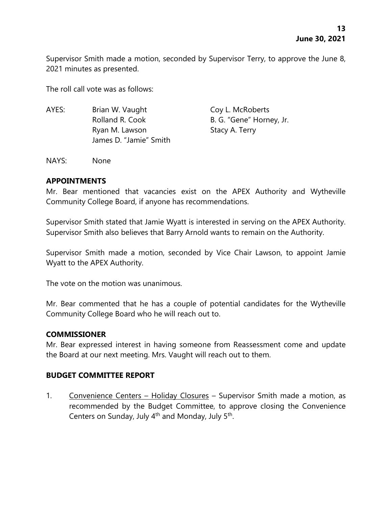Supervisor Smith made a motion, seconded by Supervisor Terry, to approve the June 8, 2021 minutes as presented.

The roll call vote was as follows:

AYES: Brian W. Vaught Coy L. McRoberts Rolland R. Cook B. G. "Gene" Horney, Jr. Ryan M. Lawson Stacy A. Terry James D. "Jamie" Smith

NAYS: None

#### **APPOINTMENTS**

Mr. Bear mentioned that vacancies exist on the APEX Authority and Wytheville Community College Board, if anyone has recommendations.

Supervisor Smith stated that Jamie Wyatt is interested in serving on the APEX Authority. Supervisor Smith also believes that Barry Arnold wants to remain on the Authority.

Supervisor Smith made a motion, seconded by Vice Chair Lawson, to appoint Jamie Wyatt to the APEX Authority.

The vote on the motion was unanimous.

Mr. Bear commented that he has a couple of potential candidates for the Wytheville Community College Board who he will reach out to.

#### **COMMISSIONER**

Mr. Bear expressed interest in having someone from Reassessment come and update the Board at our next meeting. Mrs. Vaught will reach out to them.

# **BUDGET COMMITTEE REPORT**

1. Convenience Centers – Holiday Closures – Supervisor Smith made a motion, as recommended by the Budget Committee, to approve closing the Convenience Centers on Sunday, July 4<sup>th</sup> and Monday, July 5<sup>th</sup>.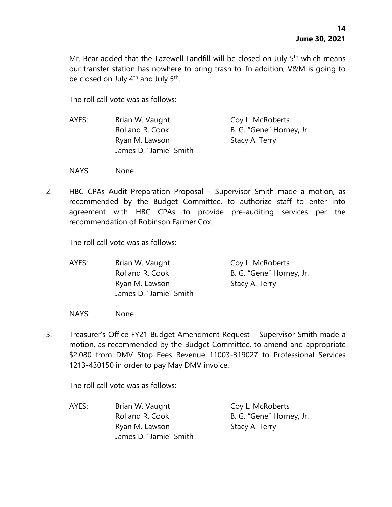Mr. Bear added that the Tazewell Landfill will be closed on July 5<sup>th</sup> which means our transfer station has nowhere to bring trash to. In addition, V&M is going to be closed on July 4<sup>th</sup> and July 5<sup>th</sup>.

The roll call vote was as follows:

- AYES: Brian W. Vaught Coy L. McRoberts Rolland R. Cook B. G. "Gene" Horney, Jr. Ryan M. Lawson Stacy A. Terry James D. "Jamie" Smith
- NAYS: None
- 2. HBC CPAs Audit Preparation Proposal Supervisor Smith made a motion, as recommended by the Budget Committee, to authorize staff to enter into agreement with HBC CPAs to provide pre-auditing services per the recommendation of Robinson Farmer Cox.

The roll call vote was as follows:

AYES: Brian W. Vaught Coy L. McRoberts Rolland R. Cook B. G. "Gene" Horney, Jr. Ryan M. Lawson Stacy A. Terry James D. "Jamie" Smith

NAYS: None

3. Treasurer's Office FY21 Budget Amendment Request – Supervisor Smith made a motion, as recommended by the Budget Committee, to amend and appropriate \$2,080 from DMV Stop Fees Revenue 11003-319027 to Professional Services 1213-430150 in order to pay May DMV invoice.

The roll call vote was as follows:

AYES: Brian W. Vaught Coy L. McRoberts Rolland R. Cook B. G. "Gene" Horney, Jr. Ryan M. Lawson Stacy A. Terry James D. "Jamie" Smith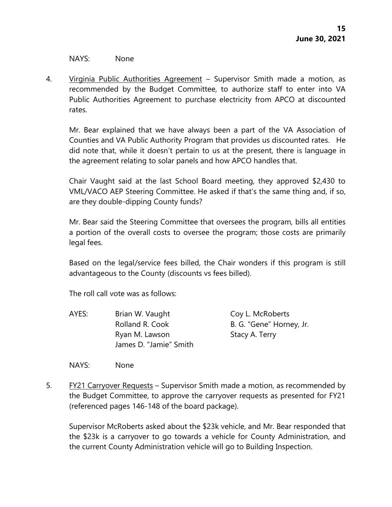NAYS: None

4. Virginia Public Authorities Agreement – Supervisor Smith made a motion, as recommended by the Budget Committee, to authorize staff to enter into VA Public Authorities Agreement to purchase electricity from APCO at discounted rates.

Mr. Bear explained that we have always been a part of the VA Association of Counties and VA Public Authority Program that provides us discounted rates. He did note that, while it doesn't pertain to us at the present, there is language in the agreement relating to solar panels and how APCO handles that.

Chair Vaught said at the last School Board meeting, they approved \$2,430 to VML/VACO AEP Steering Committee. He asked if that's the same thing and, if so, are they double-dipping County funds?

Mr. Bear said the Steering Committee that oversees the program, bills all entities a portion of the overall costs to oversee the program; those costs are primarily legal fees.

Based on the legal/service fees billed, the Chair wonders if this program is still advantageous to the County (discounts vs fees billed).

The roll call vote was as follows:

AYES: Brian W. Vaught Coy L. McRoberts Rolland R. Cook B. G. "Gene" Horney, Jr. Ryan M. Lawson Stacy A. Terry James D. "Jamie" Smith

NAYS: None

5. FY21 Carryover Requests – Supervisor Smith made a motion, as recommended by the Budget Committee, to approve the carryover requests as presented for FY21 (referenced pages 146-148 of the board package).

Supervisor McRoberts asked about the \$23k vehicle, and Mr. Bear responded that the \$23k is a carryover to go towards a vehicle for County Administration, and the current County Administration vehicle will go to Building Inspection.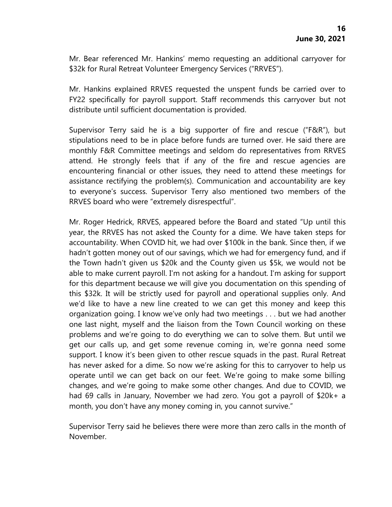Mr. Bear referenced Mr. Hankins' memo requesting an additional carryover for \$32k for Rural Retreat Volunteer Emergency Services ("RRVES").

Mr. Hankins explained RRVES requested the unspent funds be carried over to FY22 specifically for payroll support. Staff recommends this carryover but not distribute until sufficient documentation is provided.

Supervisor Terry said he is a big supporter of fire and rescue ("F&R"), but stipulations need to be in place before funds are turned over. He said there are monthly F&R Committee meetings and seldom do representatives from RRVES attend. He strongly feels that if any of the fire and rescue agencies are encountering financial or other issues, they need to attend these meetings for assistance rectifying the problem(s). Communication and accountability are key to everyone's success. Supervisor Terry also mentioned two members of the RRVES board who were "extremely disrespectful".

Mr. Roger Hedrick, RRVES, appeared before the Board and stated "Up until this year, the RRVES has not asked the County for a dime. We have taken steps for accountability. When COVID hit, we had over \$100k in the bank. Since then, if we hadn't gotten money out of our savings, which we had for emergency fund, and if the Town hadn't given us \$20k and the County given us \$5k, we would not be able to make current payroll. I'm not asking for a handout. I'm asking for support for this department because we will give you documentation on this spending of this \$32k. It will be strictly used for payroll and operational supplies only. And we'd like to have a new line created to we can get this money and keep this organization going. I know we've only had two meetings . . . but we had another one last night, myself and the liaison from the Town Council working on these problems and we're going to do everything we can to solve them. But until we get our calls up, and get some revenue coming in, we're gonna need some support. I know it's been given to other rescue squads in the past. Rural Retreat has never asked for a dime. So now we're asking for this to carryover to help us operate until we can get back on our feet. We're going to make some billing changes, and we're going to make some other changes. And due to COVID, we had 69 calls in January, November we had zero. You got a payroll of \$20k+ a month, you don't have any money coming in, you cannot survive."

Supervisor Terry said he believes there were more than zero calls in the month of November.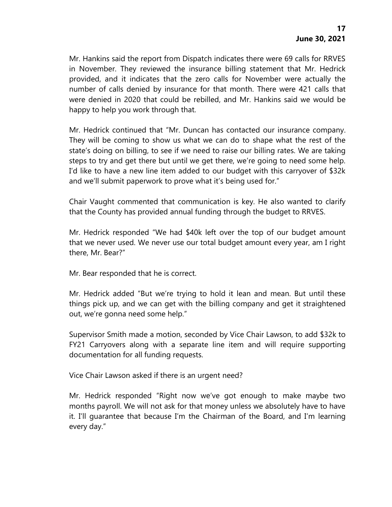Mr. Hankins said the report from Dispatch indicates there were 69 calls for RRVES in November. They reviewed the insurance billing statement that Mr. Hedrick provided, and it indicates that the zero calls for November were actually the number of calls denied by insurance for that month. There were 421 calls that were denied in 2020 that could be rebilled, and Mr. Hankins said we would be happy to help you work through that.

Mr. Hedrick continued that "Mr. Duncan has contacted our insurance company. They will be coming to show us what we can do to shape what the rest of the state's doing on billing, to see if we need to raise our billing rates. We are taking steps to try and get there but until we get there, we're going to need some help. I'd like to have a new line item added to our budget with this carryover of \$32k and we'll submit paperwork to prove what it's being used for."

Chair Vaught commented that communication is key. He also wanted to clarify that the County has provided annual funding through the budget to RRVES.

Mr. Hedrick responded "We had \$40k left over the top of our budget amount that we never used. We never use our total budget amount every year, am I right there, Mr. Bear?"

Mr. Bear responded that he is correct.

Mr. Hedrick added "But we're trying to hold it lean and mean. But until these things pick up, and we can get with the billing company and get it straightened out, we're gonna need some help."

Supervisor Smith made a motion, seconded by Vice Chair Lawson, to add \$32k to FY21 Carryovers along with a separate line item and will require supporting documentation for all funding requests.

Vice Chair Lawson asked if there is an urgent need?

Mr. Hedrick responded "Right now we've got enough to make maybe two months payroll. We will not ask for that money unless we absolutely have to have it. I'll guarantee that because I'm the Chairman of the Board, and I'm learning every day."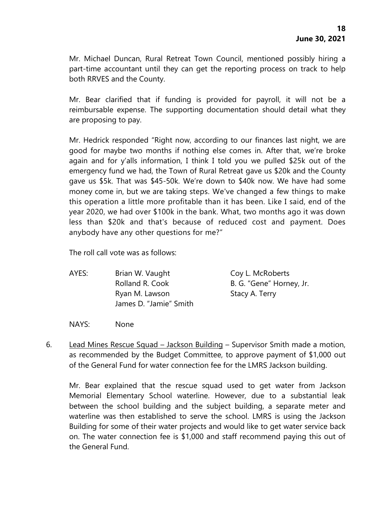Mr. Michael Duncan, Rural Retreat Town Council, mentioned possibly hiring a part-time accountant until they can get the reporting process on track to help both RRVES and the County.

Mr. Bear clarified that if funding is provided for payroll, it will not be a reimbursable expense. The supporting documentation should detail what they are proposing to pay.

Mr. Hedrick responded "Right now, according to our finances last night, we are good for maybe two months if nothing else comes in. After that, we're broke again and for y'alls information, I think I told you we pulled \$25k out of the emergency fund we had, the Town of Rural Retreat gave us \$20k and the County gave us \$5k. That was \$45-50k. We're down to \$40k now. We have had some money come in, but we are taking steps. We've changed a few things to make this operation a little more profitable than it has been. Like I said, end of the year 2020, we had over \$100k in the bank. What, two months ago it was down less than \$20k and that's because of reduced cost and payment. Does anybody have any other questions for me?"

The roll call vote was as follows:

- AYES: Brian W. Vaught Coy L. McRoberts Rolland R. Cook B. G. "Gene" Horney, Jr. Ryan M. Lawson Stacy A. Terry James D. "Jamie" Smith
- NAYS: None
- 6. Lead Mines Rescue Squad Jackson Building Supervisor Smith made a motion, as recommended by the Budget Committee, to approve payment of \$1,000 out of the General Fund for water connection fee for the LMRS Jackson building.

Mr. Bear explained that the rescue squad used to get water from Jackson Memorial Elementary School waterline. However, due to a substantial leak between the school building and the subject building, a separate meter and waterline was then established to serve the school. LMRS is using the Jackson Building for some of their water projects and would like to get water service back on. The water connection fee is \$1,000 and staff recommend paying this out of the General Fund.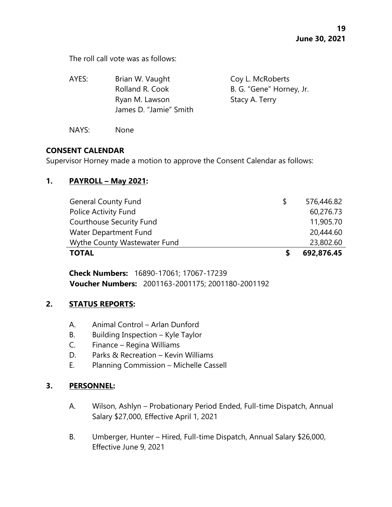The roll call vote was as follows:

| AYES: | Brian W. Vaught                          | Coy L. McRoberts         |
|-------|------------------------------------------|--------------------------|
|       | Rolland R. Cook                          | B. G. "Gene" Horney, Jr. |
|       | Ryan M. Lawson<br>James D. "Jamie" Smith | Stacy A. Terry           |
| NAYS: | None                                     |                          |

# **CONSENT CALENDAR**

Supervisor Horney made a motion to approve the Consent Calendar as follows:

### **1. PAYROLL – May 2021:**

| <b>General County Fund</b>      | 576,446.82 |
|---------------------------------|------------|
| Police Activity Fund            | 60,276.73  |
| <b>Courthouse Security Fund</b> | 11,905.70  |
| Water Department Fund           | 20,444.60  |
| Wythe County Wastewater Fund    | 23,802.60  |
| <b>TOTAL</b>                    | 692,876.45 |

**Check Numbers:** 16890-17061; 17067-17239 **Voucher Numbers:** 2001163-2001175; 2001180-2001192

### **2. STATUS REPORTS:**

- A. Animal Control Arlan Dunford
- B. Building Inspection Kyle Taylor
- C. Finance Regina Williams
- D. Parks & Recreation Kevin Williams
- E. Planning Commission Michelle Cassell

# **3. PERSONNEL:**

- A. Wilson, Ashlyn Probationary Period Ended, Full-time Dispatch, Annual Salary \$27,000, Effective April 1, 2021
- B. Umberger, Hunter Hired, Full-time Dispatch, Annual Salary \$26,000, Effective June 9, 2021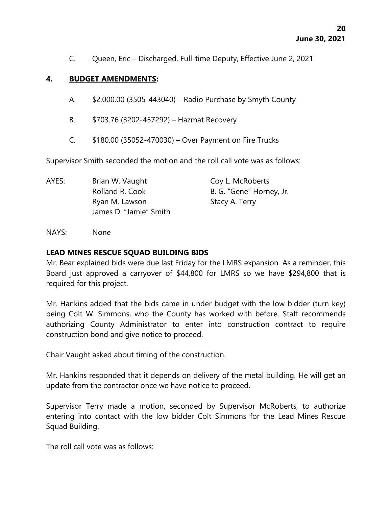C. Queen, Eric – Discharged, Full-time Deputy, Effective June 2, 2021

## **4. BUDGET AMENDMENTS:**

- A. \$2,000.00 (3505-443040) Radio Purchase by Smyth County
- B. \$703.76 (3202-457292) Hazmat Recovery
- C. \$180.00 (35052-470030) Over Payment on Fire Trucks

Supervisor Smith seconded the motion and the roll call vote was as follows:

| AYES: | Brian W. Vaught        | Coy L. McRoberts         |
|-------|------------------------|--------------------------|
|       | Rolland R. Cook        | B. G. "Gene" Horney, Jr. |
|       | Ryan M. Lawson         | Stacy A. Terry           |
|       | James D. "Jamie" Smith |                          |

NAYS: None

### **LEAD MINES RESCUE SQUAD BUILDING BIDS**

Mr. Bear explained bids were due last Friday for the LMRS expansion. As a reminder, this Board just approved a carryover of \$44,800 for LMRS so we have \$294,800 that is required for this project.

Mr. Hankins added that the bids came in under budget with the low bidder (turn key) being Colt W. Simmons, who the County has worked with before. Staff recommends authorizing County Administrator to enter into construction contract to require construction bond and give notice to proceed.

Chair Vaught asked about timing of the construction.

Mr. Hankins responded that it depends on delivery of the metal building. He will get an update from the contractor once we have notice to proceed.

Supervisor Terry made a motion, seconded by Supervisor McRoberts, to authorize entering into contact with the low bidder Colt Simmons for the Lead Mines Rescue Squad Building.

The roll call vote was as follows: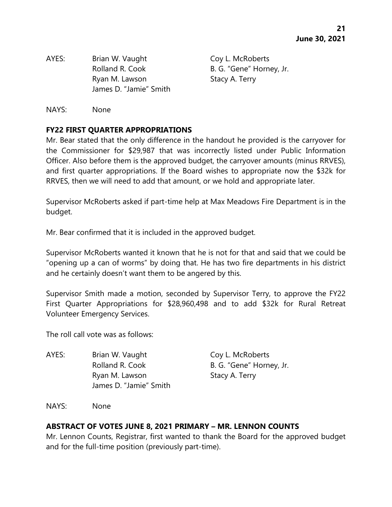AYES: Brian W. Vaught Coy L. McRoberts Rolland R. Cook B. G. "Gene" Horney, Jr. Ryan M. Lawson Stacy A. Terry James D. "Jamie" Smith

NAYS: None

# **FY22 FIRST QUARTER APPROPRIATIONS**

Mr. Bear stated that the only difference in the handout he provided is the carryover for the Commissioner for \$29,987 that was incorrectly listed under Public Information Officer. Also before them is the approved budget, the carryover amounts (minus RRVES), and first quarter appropriations. If the Board wishes to appropriate now the \$32k for RRVES, then we will need to add that amount, or we hold and appropriate later.

Supervisor McRoberts asked if part-time help at Max Meadows Fire Department is in the budget.

Mr. Bear confirmed that it is included in the approved budget.

Supervisor McRoberts wanted it known that he is not for that and said that we could be "opening up a can of worms" by doing that. He has two fire departments in his district and he certainly doesn't want them to be angered by this.

Supervisor Smith made a motion, seconded by Supervisor Terry, to approve the FY22 First Quarter Appropriations for \$28,960,498 and to add \$32k for Rural Retreat Volunteer Emergency Services.

The roll call vote was as follows:

AYES: Brian W. Vaught Coy L. McRoberts Rolland R. Cook B. G. "Gene" Horney, Jr. Ryan M. Lawson Stacy A. Terry James D. "Jamie" Smith

NAYS: None

# **ABSTRACT OF VOTES JUNE 8, 2021 PRIMARY – MR. LENNON COUNTS**

Mr. Lennon Counts, Registrar, first wanted to thank the Board for the approved budget and for the full-time position (previously part-time).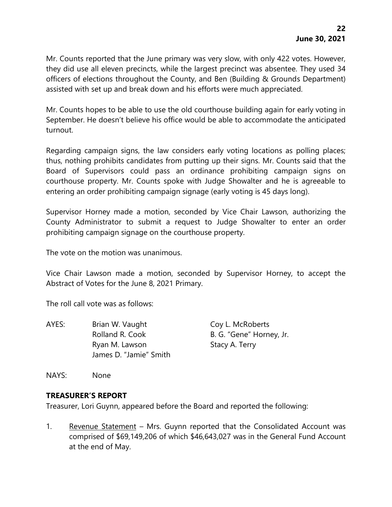Mr. Counts reported that the June primary was very slow, with only 422 votes. However, they did use all eleven precincts, while the largest precinct was absentee. They used 34 officers of elections throughout the County, and Ben (Building & Grounds Department) assisted with set up and break down and his efforts were much appreciated.

Mr. Counts hopes to be able to use the old courthouse building again for early voting in September. He doesn't believe his office would be able to accommodate the anticipated turnout.

Regarding campaign signs, the law considers early voting locations as polling places; thus, nothing prohibits candidates from putting up their signs. Mr. Counts said that the Board of Supervisors could pass an ordinance prohibiting campaign signs on courthouse property. Mr. Counts spoke with Judge Showalter and he is agreeable to entering an order prohibiting campaign signage (early voting is 45 days long).

Supervisor Horney made a motion, seconded by Vice Chair Lawson, authorizing the County Administrator to submit a request to Judge Showalter to enter an order prohibiting campaign signage on the courthouse property.

The vote on the motion was unanimous.

Vice Chair Lawson made a motion, seconded by Supervisor Horney, to accept the Abstract of Votes for the June 8, 2021 Primary.

The roll call vote was as follows:

AYES: Brian W. Vaught Coy L. McRoberts Rolland R. Cook B. G. "Gene" Horney, Jr. Ryan M. Lawson Stacy A. Terry James D. "Jamie" Smith

NAYS: None

# **TREASURER'S REPORT**

Treasurer, Lori Guynn, appeared before the Board and reported the following:

1. Revenue Statement – Mrs. Guynn reported that the Consolidated Account was comprised of \$69,149,206 of which \$46,643,027 was in the General Fund Account at the end of May.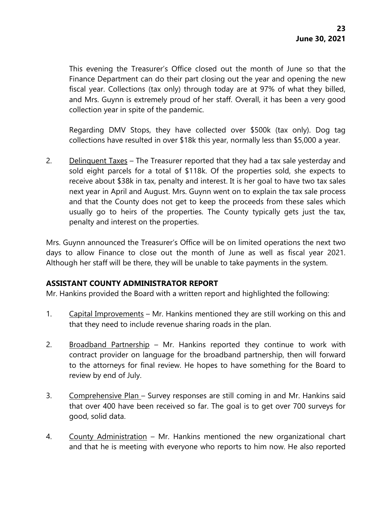This evening the Treasurer's Office closed out the month of June so that the Finance Department can do their part closing out the year and opening the new fiscal year. Collections (tax only) through today are at 97% of what they billed, and Mrs. Guynn is extremely proud of her staff. Overall, it has been a very good collection year in spite of the pandemic.

Regarding DMV Stops, they have collected over \$500k (tax only). Dog tag collections have resulted in over \$18k this year, normally less than \$5,000 a year.

2. Delinquent Taxes – The Treasurer reported that they had a tax sale yesterday and sold eight parcels for a total of \$118k. Of the properties sold, she expects to receive about \$38k in tax, penalty and interest. It is her goal to have two tax sales next year in April and August. Mrs. Guynn went on to explain the tax sale process and that the County does not get to keep the proceeds from these sales which usually go to heirs of the properties. The County typically gets just the tax, penalty and interest on the properties.

Mrs. Guynn announced the Treasurer's Office will be on limited operations the next two days to allow Finance to close out the month of June as well as fiscal year 2021. Although her staff will be there, they will be unable to take payments in the system.

# **ASSISTANT COUNTY ADMINISTRATOR REPORT**

Mr. Hankins provided the Board with a written report and highlighted the following:

- 1. Capital Improvements Mr. Hankins mentioned they are still working on this and that they need to include revenue sharing roads in the plan.
- 2. Broadband Partnership Mr. Hankins reported they continue to work with contract provider on language for the broadband partnership, then will forward to the attorneys for final review. He hopes to have something for the Board to review by end of July.
- 3. Comprehensive Plan Survey responses are still coming in and Mr. Hankins said that over 400 have been received so far. The goal is to get over 700 surveys for good, solid data.
- 4. County Administration Mr. Hankins mentioned the new organizational chart and that he is meeting with everyone who reports to him now. He also reported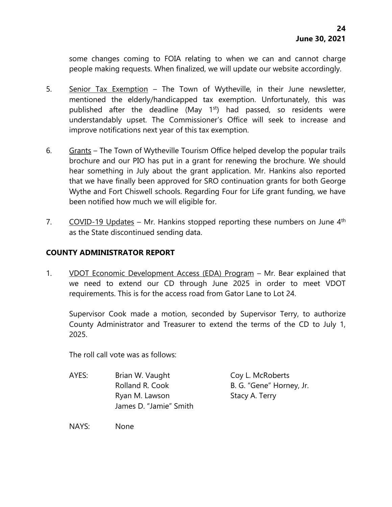some changes coming to FOIA relating to when we can and cannot charge people making requests. When finalized, we will update our website accordingly.

- 5. Senior Tax Exemption The Town of Wytheville, in their June newsletter, mentioned the elderly/handicapped tax exemption. Unfortunately, this was published after the deadline (May  $1<sup>st</sup>$ ) had passed, so residents were understandably upset. The Commissioner's Office will seek to increase and improve notifications next year of this tax exemption.
- 6. Grants The Town of Wytheville Tourism Office helped develop the popular trails brochure and our PIO has put in a grant for renewing the brochure. We should hear something in July about the grant application. Mr. Hankins also reported that we have finally been approved for SRO continuation grants for both George Wythe and Fort Chiswell schools. Regarding Four for Life grant funding, we have been notified how much we will eligible for.
- 7. COVID-19 Updates Mr. Hankins stopped reporting these numbers on June  $4<sup>th</sup>$ as the State discontinued sending data.

# **COUNTY ADMINISTRATOR REPORT**

1. VDOT Economic Development Access (EDA) Program - Mr. Bear explained that we need to extend our CD through June 2025 in order to meet VDOT requirements. This is for the access road from Gator Lane to Lot 24.

Supervisor Cook made a motion, seconded by Supervisor Terry, to authorize County Administrator and Treasurer to extend the terms of the CD to July 1, 2025.

The roll call vote was as follows:

AYES: Brian W. Vaught Coy L. McRoberts Rolland R. Cook B. G. "Gene" Horney, Jr. Ryan M. Lawson Stacy A. Terry James D. "Jamie" Smith

NAYS: None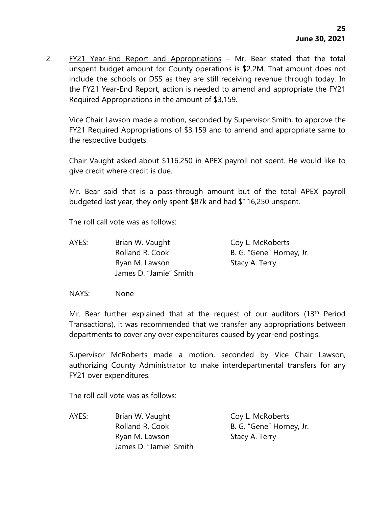2. FY21 Year-End Report and Appropriations – Mr. Bear stated that the total unspent budget amount for County operations is \$2.2M. That amount does not include the schools or DSS as they are still receiving revenue through today. In the FY21 Year-End Report, action is needed to amend and appropriate the FY21 Required Appropriations in the amount of \$3,159.

Vice Chair Lawson made a motion, seconded by Supervisor Smith, to approve the FY21 Required Appropriations of \$3,159 and to amend and appropriate same to the respective budgets.

Chair Vaught asked about \$116,250 in APEX payroll not spent. He would like to give credit where credit is due.

Mr. Bear said that is a pass-through amount but of the total APEX payroll budgeted last year, they only spent \$87k and had \$116,250 unspent.

The roll call vote was as follows:

AYES: Brian W. Vaught Coy L. McRoberts Rolland R. Cook B. G. "Gene" Horney, Jr. Ryan M. Lawson Stacy A. Terry James D. "Jamie" Smith

NAYS: None

Mr. Bear further explained that at the request of our auditors (13th Period Transactions), it was recommended that we transfer any appropriations between departments to cover any over expenditures caused by year-end postings.

Supervisor McRoberts made a motion, seconded by Vice Chair Lawson, authorizing County Administrator to make interdepartmental transfers for any FY21 over expenditures.

The roll call vote was as follows:

AYES: Brian W. Vaught Coy L. McRoberts Rolland R. Cook B. G. "Gene" Horney, Jr. Ryan M. Lawson Stacy A. Terry James D. "Jamie" Smith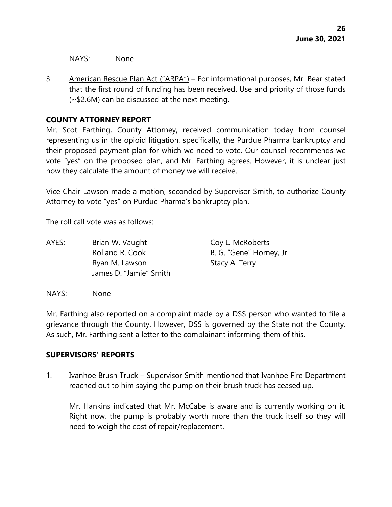NAYS: None

3. American Rescue Plan Act ("ARPA") – For informational purposes, Mr. Bear stated that the first round of funding has been received. Use and priority of those funds (~\$2.6M) can be discussed at the next meeting.

# **COUNTY ATTORNEY REPORT**

Mr. Scot Farthing, County Attorney, received communication today from counsel representing us in the opioid litigation, specifically, the Purdue Pharma bankruptcy and their proposed payment plan for which we need to vote. Our counsel recommends we vote "yes" on the proposed plan, and Mr. Farthing agrees. However, it is unclear just how they calculate the amount of money we will receive.

Vice Chair Lawson made a motion, seconded by Supervisor Smith, to authorize County Attorney to vote "yes" on Purdue Pharma's bankruptcy plan.

The roll call vote was as follows:

AYES: Brian W. Vaught Coy L. McRoberts Rolland R. Cook B. G. "Gene" Horney, Jr. Ryan M. Lawson Stacy A. Terry James D. "Jamie" Smith

NAYS: None

Mr. Farthing also reported on a complaint made by a DSS person who wanted to file a grievance through the County. However, DSS is governed by the State not the County. As such, Mr. Farthing sent a letter to the complainant informing them of this.

# **SUPERVISORS' REPORTS**

1. Ivanhoe Brush Truck – Supervisor Smith mentioned that Ivanhoe Fire Department reached out to him saying the pump on their brush truck has ceased up.

Mr. Hankins indicated that Mr. McCabe is aware and is currently working on it. Right now, the pump is probably worth more than the truck itself so they will need to weigh the cost of repair/replacement.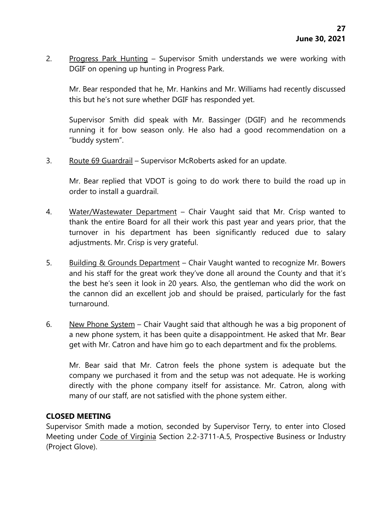2. Progress Park Hunting – Supervisor Smith understands we were working with DGIF on opening up hunting in Progress Park.

Mr. Bear responded that he, Mr. Hankins and Mr. Williams had recently discussed this but he's not sure whether DGIF has responded yet.

Supervisor Smith did speak with Mr. Bassinger (DGIF) and he recommends running it for bow season only. He also had a good recommendation on a "buddy system".

3. Route 69 Guardrail – Supervisor McRoberts asked for an update.

Mr. Bear replied that VDOT is going to do work there to build the road up in order to install a guardrail.

- 4. Water/Wastewater Department Chair Vaught said that Mr. Crisp wanted to thank the entire Board for all their work this past year and years prior, that the turnover in his department has been significantly reduced due to salary adjustments. Mr. Crisp is very grateful.
- 5. Building & Grounds Department Chair Vaught wanted to recognize Mr. Bowers and his staff for the great work they've done all around the County and that it's the best he's seen it look in 20 years. Also, the gentleman who did the work on the cannon did an excellent job and should be praised, particularly for the fast turnaround.
- 6. New Phone System Chair Vaught said that although he was a big proponent of a new phone system, it has been quite a disappointment. He asked that Mr. Bear get with Mr. Catron and have him go to each department and fix the problems.

Mr. Bear said that Mr. Catron feels the phone system is adequate but the company we purchased it from and the setup was not adequate. He is working directly with the phone company itself for assistance. Mr. Catron, along with many of our staff, are not satisfied with the phone system either.

# **CLOSED MEETING**

Supervisor Smith made a motion, seconded by Supervisor Terry, to enter into Closed Meeting under Code of Virginia Section 2.2-3711-A.5, Prospective Business or Industry (Project Glove).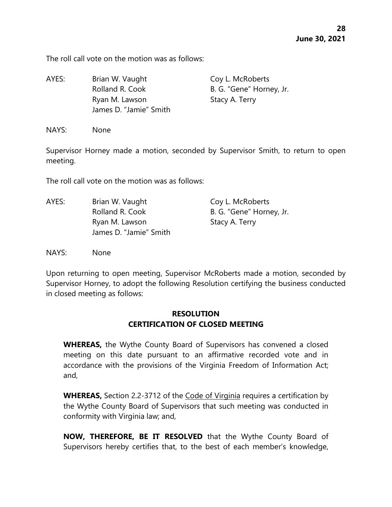The roll call vote on the motion was as follows:

AYES: Brian W. Vaught Coy L. McRoberts Rolland R. Cook B. G. "Gene" Horney, Jr. Ryan M. Lawson Stacy A. Terry James D. "Jamie" Smith

NAYS: None

Supervisor Horney made a motion, seconded by Supervisor Smith, to return to open meeting.

The roll call vote on the motion was as follows:

| AYES: | Brian W. Vaught        | Coy L. McRoberts         |
|-------|------------------------|--------------------------|
|       | Rolland R. Cook        | B. G. "Gene" Horney, Jr. |
|       | Ryan M. Lawson         | Stacy A. Terry           |
|       | James D. "Jamie" Smith |                          |

NAYS: None

Upon returning to open meeting, Supervisor McRoberts made a motion, seconded by Supervisor Horney, to adopt the following Resolution certifying the business conducted in closed meeting as follows:

# **RESOLUTION CERTIFICATION OF CLOSED MEETING**

**WHEREAS,** the Wythe County Board of Supervisors has convened a closed meeting on this date pursuant to an affirmative recorded vote and in accordance with the provisions of the Virginia Freedom of Information Act; and,

**WHEREAS,** Section 2.2-3712 of the Code of Virginia requires a certification by the Wythe County Board of Supervisors that such meeting was conducted in conformity with Virginia law; and,

**NOW, THEREFORE, BE IT RESOLVED** that the Wythe County Board of Supervisors hereby certifies that, to the best of each member's knowledge,